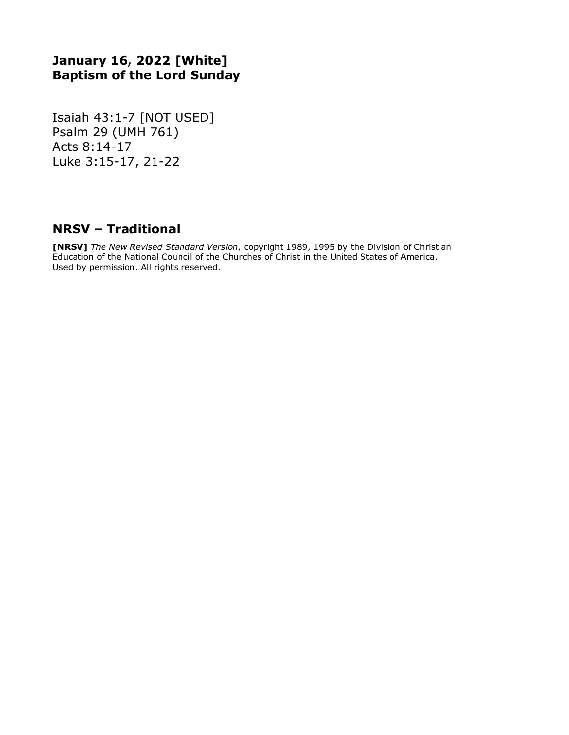# **January 16, 2022 [White] Baptism of the Lord Sunday**

Isaiah 43:1-7 [NOT USED] Psalm 29 (UMH 761) Acts 8:14-17 Luke 3:15-17, 21-22

### **NRSV – Traditional**

**[NRSV]** *The New Revised Standard Version*, copyright 1989, 1995 by the Division of Christian Education of the National Council of the Churches of Christ in the United States of America. Used by permission. All rights reserved.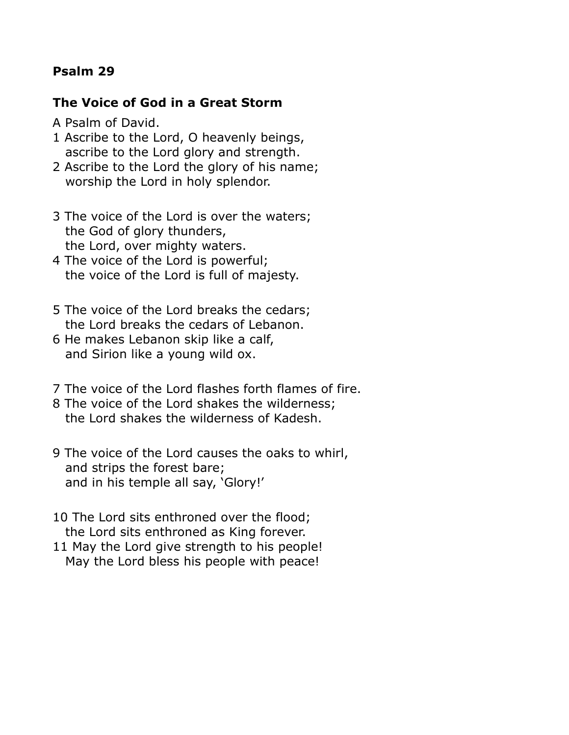# **Psalm 29**

### **The Voice of God in a Great Storm**

- A Psalm of David.
- 1 Ascribe to the Lord, O heavenly beings, ascribe to the Lord glory and strength.
- 2 Ascribe to the Lord the glory of his name; worship the Lord in holy splendor.
- 3 The voice of the Lord is over the waters; the God of glory thunders, the Lord, over mighty waters.
- 4 The voice of the Lord is powerful; the voice of the Lord is full of majesty.
- 5 The voice of the Lord breaks the cedars; the Lord breaks the cedars of Lebanon.
- 6 He makes Lebanon skip like a calf, and Sirion like a young wild ox.
- 7 The voice of the Lord flashes forth flames of fire.
- 8 The voice of the Lord shakes the wilderness; the Lord shakes the wilderness of Kadesh.
- 9 The voice of the Lord causes the oaks to whirl, and strips the forest bare; and in his temple all say, 'Glory!'
- 10 The Lord sits enthroned over the flood; the Lord sits enthroned as King forever.
- 11 May the Lord give strength to his people! May the Lord bless his people with peace!